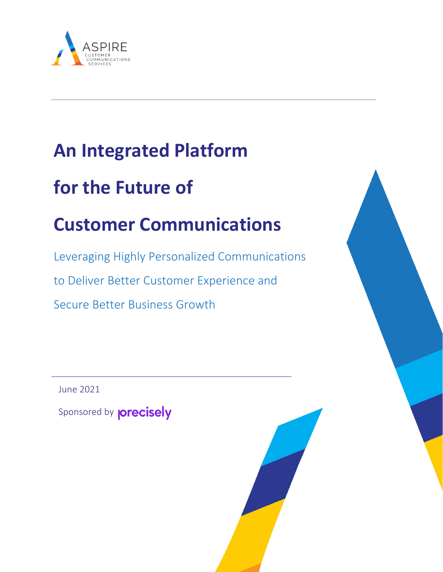

## **An Integrated Platform**

# **for the Future of**

# **Customer Communications**

Leveraging Highly Personalized Communications to Deliver Better Customer Experience and Secure Better Business Growth

June 2021

Sponsored by **precisely**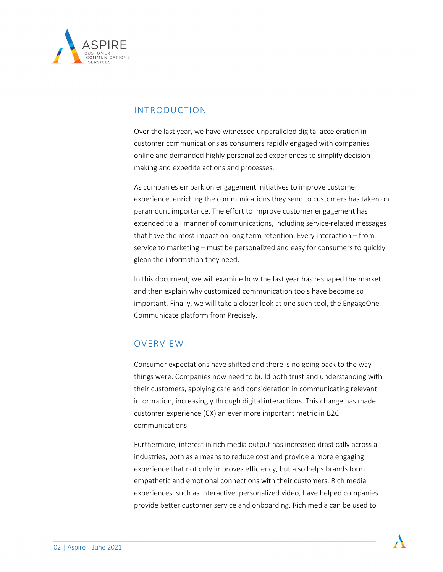

## INTRODUCTION

Over the last year, we have witnessed unparalleled digital acceleration in customer communications as consumers rapidly engaged with companies online and demanded highly personalized experiences to simplify decision making and expedite actions and processes.

As companies embark on engagement initiatives to improve customer experience, enriching the communications they send to customers has taken on paramount importance. The effort to improve customer engagement has extended to all manner of communications, including service-related messages that have the most impact on long term retention. Every interaction – from service to marketing – must be personalized and easy for consumers to quickly glean the information they need.

In this document, we will examine how the last year has reshaped the market and then explain why customized communication tools have become so important. Finally, we will take a closer look at one such tool, the EngageOne Communicate platform from Precisely.

## OVERVIEW

Consumer expectations have shifted and there is no going back to the way things were. Companies now need to build both trust and understanding with their customers, applying care and consideration in communicating relevant information, increasingly through digital interactions. This change has made customer experience (CX) an ever more important metric in B2C communications.

Furthermore, interest in rich media output has increased drastically across all industries, both as a means to reduce cost and provide a more engaging experience that not only improves efficiency, but also helps brands form empathetic and emotional connections with their customers. Rich media experiences, such as interactive, personalized video, have helped companies provide better customer service and onboarding. Rich media can be used to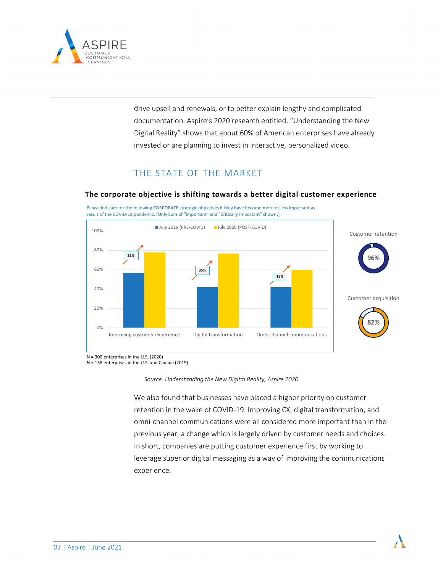

drive upsell and renewals, or to better explain lengthy and complicated documentation. Aspire's 2020 research entitled, "Understanding the New Digital Reality" shows that about 60% of American enterprises have already invested or are planning to invest in interactive, personalized video.

## THE STATE OF THE MARKET

#### **The corporate objective is shifting towards a better digital customer experience**

Please indicate for the following CORPORATE strategic objectives if they have become more or less important as result of the COVID-19 pandemic. (Only Sum of "Important" and "Critically Important" shown.)



N = 300 enterprises in the U.S. (2020)

N = 138 enterprises in the U.S. and Canada (2019)

*Source: Understanding the New Digital Reality, Aspire 2020*

We also found that businesses have placed a higher priority on customer retention in the wake of COVID-19. Improving CX, digital transformation, and omni-channel communications were all considered more important than in the previous year, a change which is largely driven by customer needs and choices. In short, companies are putting customer experience first by working to leverage superior digital messaging as a way of improving the communications experience.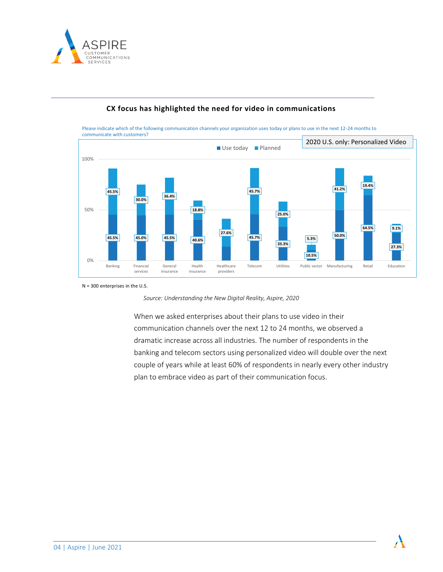



#### **CX focus has highlighted the need for video in communications**

N = 300 enterprises in the U.S.

*Source: Understanding the New Digital Reality, Aspire, 2020*

When we asked enterprises about their plans to use video in their communication channels over the next 12 to 24 months, we observed a dramatic increase across all industries. The number of respondents in the banking and telecom sectors using personalized video will double over the next couple of years while at least 60% of respondents in nearly every other industry plan to embrace video as part of their communication focus.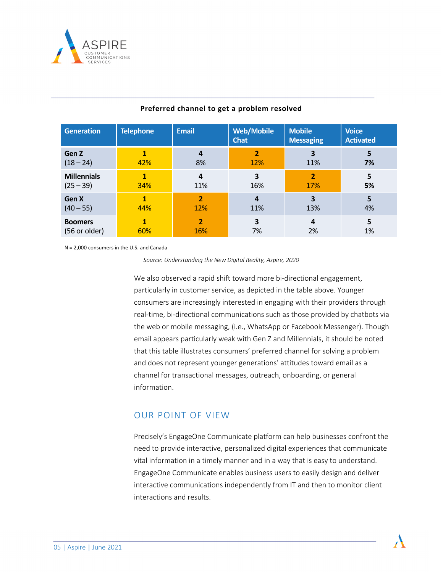

| <b>Generation</b>  | <b>Telephone</b> | <b>Email</b>            | <b>Web/Mobile</b><br><b>Chat</b> | <b>Mobile</b><br><b>Messaging</b> | <b>Voice</b><br><b>Activated</b> |
|--------------------|------------------|-------------------------|----------------------------------|-----------------------------------|----------------------------------|
| Gen Z              | 1                | 4                       | $\overline{2}$                   | 3                                 | 5                                |
| $(18 - 24)$        | 42%              | 8%                      | 12%                              | 11%                               | 7%                               |
| <b>Millennials</b> | 1                | $\overline{a}$          | 3                                | $\overline{2}$                    | 5                                |
| $(25 - 39)$        | 34%              | 11%                     | 16%                              | 17%                               | 5%                               |
| Gen X              | 1                | $\overline{\mathbf{z}}$ | 4                                | 3                                 | 5                                |
| $(40 - 55)$        | 44%              | 12%                     | 11%                              | 13%                               | 4%                               |
| <b>Boomers</b>     | 1                | $\overline{2}$          | 3                                | 4                                 | 5                                |
| (56 or older)      | 60%              | 16%                     | 7%                               | 2%                                | 1%                               |

### **Preferred channel to get a problem resolved**

N = 2,000 consumers in the U.S. and Canada

*Source: Understanding the New Digital Reality, Aspire, 2020*

We also observed a rapid shift toward more bi-directional engagement, particularly in customer service, as depicted in the table above. Younger consumers are increasingly interested in engaging with their providers through real-time, bi-directional communications such as those provided by chatbots via the web or mobile messaging, (i.e., WhatsApp or Facebook Messenger). Though email appears particularly weak with Gen Z and Millennials, it should be noted that this table illustrates consumers' preferred channel for solving a problem and does not represent younger generations' attitudes toward email as a channel for transactional messages, outreach, onboarding, or general information.

## OUR POINT OF VIEW

Precisely's EngageOne Communicate platform can help businesses confront the need to provide interactive, personalized digital experiences that communicate vital information in a timely manner and in a way that is easy to understand. EngageOne Communicate enables business users to easily design and deliver interactive communications independently from IT and then to monitor client interactions and results.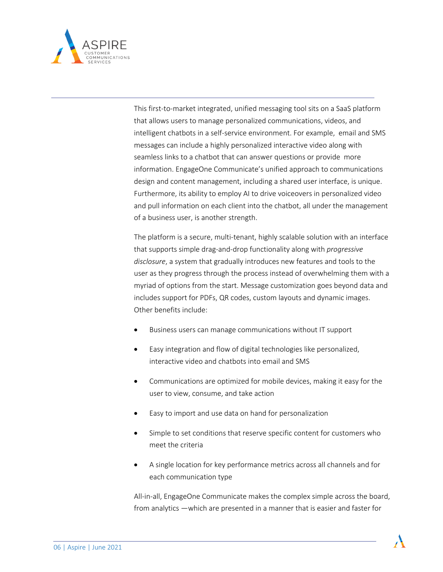

This first-to-market integrated, unified messaging tool sits on a SaaS platform that allows users to manage personalized communications, videos, and intelligent chatbots in a self-service environment. For example, email and SMS messages can include a highly personalized interactive video along with seamless links to a chatbot that can answer questions or provide more information. EngageOne Communicate's unified approach to communications design and content management, including a shared user interface, is unique. Furthermore, its ability to employ AI to drive voiceovers in personalized video and pull information on each client into the chatbot, all under the management of a business user, is another strength.

The platform is a secure, multi-tenant, highly scalable solution with an interface that supports simple drag-and-drop functionality along with *progressive disclosure*, a system that gradually introduces new features and tools to the user as they progress through the process instead of overwhelming them with a myriad of options from the start. Message customization goes beyond data and includes support for PDFs, QR codes, custom layouts and dynamic images. Other benefits include:

- Business users can manage communications without IT support
- Easy integration and flow of digital technologies like personalized, interactive video and chatbots into email and SMS
- Communications are optimized for mobile devices, making it easy for the user to view, consume, and take action
- Easy to import and use data on hand for personalization
- Simple to set conditions that reserve specific content for customers who meet the criteria
- A single location for key performance metrics across all channels and for each communication type

All-in-all, EngageOne Communicate makes the complex simple across the board, from analytics —which are presented in a manner that is easier and faster for